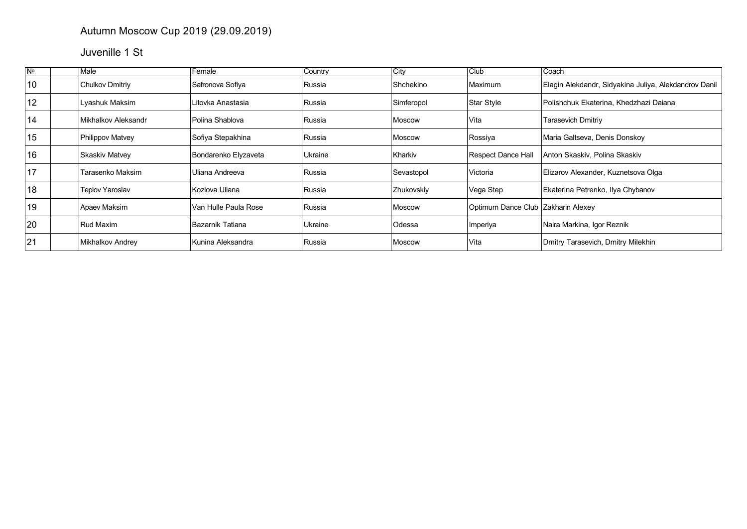## Autumn Moscow Cup 2019 (29.09.2019)

## Juvenille 1 St

| N <sub>2</sub> | Male                   | Female               | Country | $ $ City   | Club                               | Coach                                                 |
|----------------|------------------------|----------------------|---------|------------|------------------------------------|-------------------------------------------------------|
| 10             | <b>Chulkov Dmitriy</b> | Safronova Sofiya     | Russia  | Shchekino  | Maximum                            | Elagin Alekdandr, Sidyakina Juliya, Alekdandrov Danil |
| 12             | Lyashuk Maksim         | Litovka Anastasia    | Russia  | Simferopol | Star Style                         | Polishchuk Ekaterina, Khedzhazi Daiana                |
| 14             | Mikhalkov Aleksandr    | Polina Shablova      | Russia  | Moscow     | Vita                               | <b>Tarasevich Dmitriy</b>                             |
| 15             | Philippov Matvey       | Sofiya Stepakhina    | Russia  | Moscow     | Rossiya                            | Maria Galtseva, Denis Donskov                         |
| 16             | <b>Skaskiv Matvey</b>  | Bondarenko Elyzaveta | Ukraine | Kharkiv    | <b>Respect Dance Hall</b>          | Anton Skaskiv, Polina Skaskiv                         |
| 17             | Tarasenko Maksim       | Uliana Andreeva      | Russia  | Sevastopol | Victoria                           | Elizarov Alexander, Kuznetsova Olga                   |
| 18             | <b>Teplov Yaroslav</b> | Kozlova Uliana       | Russia  | Zhukovskiy | Vega Step                          | Ekaterina Petrenko, Ilya Chybanov                     |
| 19             | Apaev Maksim           | Van Hulle Paula Rose | Russia  | Moscow     | Optimum Dance Club Zakharin Alexey |                                                       |
| 20             | Rud Maxim              | Bazarnik Tatiana     | Ukraine | Odessa     | Imperiya                           | Naira Markina, Igor Reznik                            |
| 21             | Mikhalkov Andrey       | Kunina Aleksandra    | Russia  | Moscow     | Vita                               | Dmitry Tarasevich, Dmitry Milekhin                    |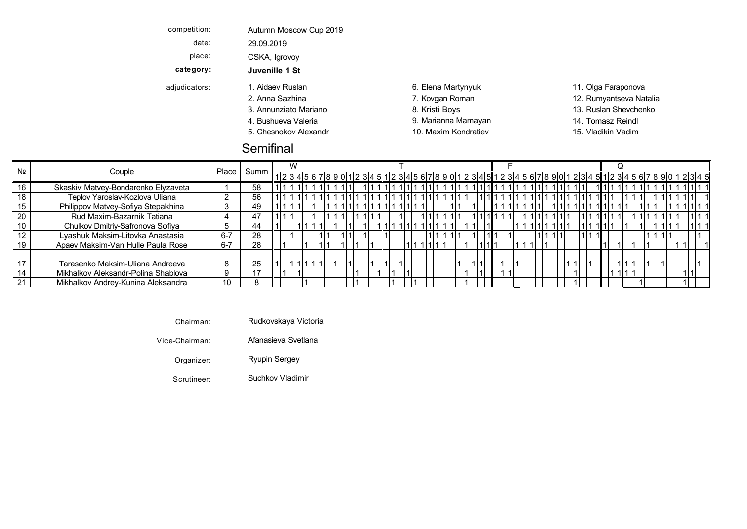| competition:  | Autumn Moscow Cup 2019 |                      |                         |
|---------------|------------------------|----------------------|-------------------------|
| date:         | 29.09.2019             |                      |                         |
| place:        | CSKA, Igrovoy          |                      |                         |
| category:     | Juvenille 1 St         |                      |                         |
| adjudicators: | 1. Aidaev Ruslan       | 6. Elena Martynyuk   | 11. Olga Faraponova     |
|               | 2. Anna Sazhina        | 7. Kovgan Roman      | 12. Rumyantseva Natalia |
|               | 3. Annunziato Mariano  | 8. Kristi Boys       | 13. Ruslan Shevchenko   |
|               | 4. Bushueva Valeria    | 9. Marianna Mamayan  | 14. Tomasz Reindl       |
|               | 5. Chesnokov Alexandr  | 10. Maxim Kondratiev | 15. Vladikin Vadim      |
|               |                        |                      |                         |

## **Semifinal**

|                | Couple                              |              |    | W                                                                                |  |  |  |  |  |  |  |  |                        |  |  |  |  |
|----------------|-------------------------------------|--------------|----|----------------------------------------------------------------------------------|--|--|--|--|--|--|--|--|------------------------|--|--|--|--|
| N <sub>2</sub> |                                     | <b>Place</b> |    | 123456789012345 123491 1234567890123456789012345 1234567890123456789012345678901 |  |  |  |  |  |  |  |  |                        |  |  |  |  |
|                | Skaskiv Matvey-Bondarenko Elyzaveta |              | 58 |                                                                                  |  |  |  |  |  |  |  |  | 1  1 1 1 1 1 1 1 1 1 1 |  |  |  |  |
|                | Teplov Yaroslav-Kozlova Uliana      |              | 56 |                                                                                  |  |  |  |  |  |  |  |  |                        |  |  |  |  |
|                | Philippov Matvey-Sofiya Stepakhina  |              | 49 |                                                                                  |  |  |  |  |  |  |  |  |                        |  |  |  |  |
| 20             | Rud Maxim-Bazarnik Tatiana          |              | 47 |                                                                                  |  |  |  |  |  |  |  |  |                        |  |  |  |  |
|                | Chulkov Dmitriy-Safronova Sofiya    |              | 44 |                                                                                  |  |  |  |  |  |  |  |  |                        |  |  |  |  |
|                | Lyashuk Maksim-Litovka Anastasia    | $6 - 7$      | 28 |                                                                                  |  |  |  |  |  |  |  |  |                        |  |  |  |  |
|                | Apaev Maksim-Van Hulle Paula Rose   | $6 - 7$      | 28 |                                                                                  |  |  |  |  |  |  |  |  |                        |  |  |  |  |
|                |                                     |              |    |                                                                                  |  |  |  |  |  |  |  |  |                        |  |  |  |  |
|                | Tarasenko Maksim-Uliana Andreeva    |              | 25 |                                                                                  |  |  |  |  |  |  |  |  |                        |  |  |  |  |
|                | Mikhalkov Aleksandr-Polina Shablova | 9            |    |                                                                                  |  |  |  |  |  |  |  |  |                        |  |  |  |  |
| 21             | Mikhalkov Andrey-Kunina Aleksandra  | 10           |    |                                                                                  |  |  |  |  |  |  |  |  |                        |  |  |  |  |

Chairman: Rudkovskaya Victoria

Vice-Chairman: Afanasieva Svetlana

Organizer: Ryupin Sergey Chesnokov Maxim Vladikin Quickstep Q Kondratiev Vadim Alexandratiev Vadim Alexandratiev Vadim Alexandratiev Vadim Alexandratiev Vadim Alexandratiev Vadim Alexandratiev Vadim Alexandratiev Vadim Ale

Scrutineer: Suchkov Vladimir Samba Suchkov Sucha Sucha Sucha Sucha Sucha Sucha Sucha Sucha Sucha Sucha Sucha S